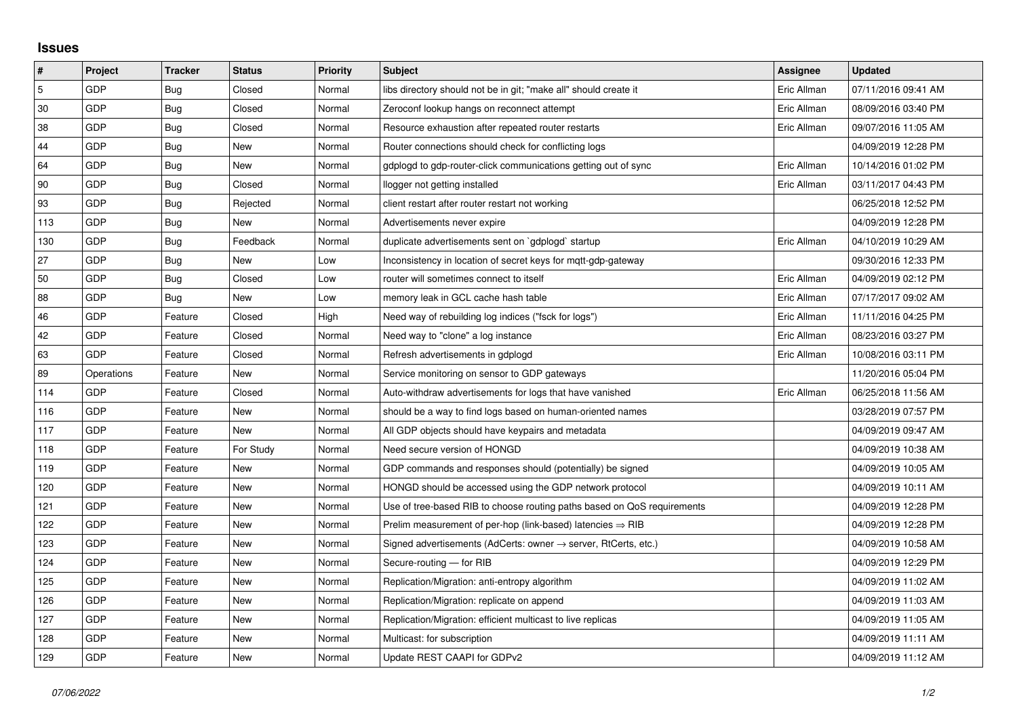## **Issues**

| #   | Project    | <b>Tracker</b> | <b>Status</b> | <b>Priority</b> | <b>Subject</b>                                                             | Assignee    | <b>Updated</b>      |
|-----|------------|----------------|---------------|-----------------|----------------------------------------------------------------------------|-------------|---------------------|
| 5   | GDP        | Bug            | Closed        | Normal          | libs directory should not be in git; "make all" should create it           | Eric Allman | 07/11/2016 09:41 AM |
| 30  | GDP        | <b>Bug</b>     | Closed        | Normal          | Zeroconf lookup hangs on reconnect attempt                                 | Eric Allman | 08/09/2016 03:40 PM |
| 38  | GDP        | Bug            | Closed        | Normal          | Resource exhaustion after repeated router restarts                         | Eric Allman | 09/07/2016 11:05 AM |
| 44  | GDP        | Bug            | <b>New</b>    | Normal          | Router connections should check for conflicting logs                       |             | 04/09/2019 12:28 PM |
| 64  | GDP        | <b>Bug</b>     | New           | Normal          | gdplogd to gdp-router-click communications getting out of sync             | Eric Allman | 10/14/2016 01:02 PM |
| 90  | GDP        | Bug            | Closed        | Normal          | llogger not getting installed                                              | Eric Allman | 03/11/2017 04:43 PM |
| 93  | GDP        | <b>Bug</b>     | Rejected      | Normal          | client restart after router restart not working                            |             | 06/25/2018 12:52 PM |
| 113 | GDP        | Bug            | New           | Normal          | Advertisements never expire                                                |             | 04/09/2019 12:28 PM |
| 130 | GDP        | Bug            | Feedback      | Normal          | duplicate advertisements sent on `gdplogd` startup                         | Eric Allman | 04/10/2019 10:29 AM |
| 27  | GDP        | Bug            | <b>New</b>    | Low             | Inconsistency in location of secret keys for mqtt-gdp-gateway              |             | 09/30/2016 12:33 PM |
| 50  | GDP        | Bug            | Closed        | Low             | router will sometimes connect to itself                                    | Eric Allman | 04/09/2019 02:12 PM |
| 88  | GDP        | Bug            | New           | Low             | memory leak in GCL cache hash table                                        | Eric Allman | 07/17/2017 09:02 AM |
| 46  | GDP        | Feature        | Closed        | High            | Need way of rebuilding log indices ("fsck for logs")                       | Eric Allman | 11/11/2016 04:25 PM |
| 42  | GDP        | Feature        | Closed        | Normal          | Need way to "clone" a log instance                                         | Eric Allman | 08/23/2016 03:27 PM |
| 63  | GDP        | Feature        | Closed        | Normal          | Refresh advertisements in gdplogd                                          | Eric Allman | 10/08/2016 03:11 PM |
| 89  | Operations | Feature        | <b>New</b>    | Normal          | Service monitoring on sensor to GDP gateways                               |             | 11/20/2016 05:04 PM |
| 114 | GDP        | Feature        | Closed        | Normal          | Auto-withdraw advertisements for logs that have vanished                   | Eric Allman | 06/25/2018 11:56 AM |
| 116 | GDP        | Feature        | <b>New</b>    | Normal          | should be a way to find logs based on human-oriented names                 |             | 03/28/2019 07:57 PM |
| 117 | GDP        | Feature        | New           | Normal          | All GDP objects should have keypairs and metadata                          |             | 04/09/2019 09:47 AM |
| 118 | GDP        | Feature        | For Study     | Normal          | Need secure version of HONGD                                               |             | 04/09/2019 10:38 AM |
| 119 | GDP        | Feature        | New           | Normal          | GDP commands and responses should (potentially) be signed                  |             | 04/09/2019 10:05 AM |
| 120 | GDP        | Feature        | <b>New</b>    | Normal          | HONGD should be accessed using the GDP network protocol                    |             | 04/09/2019 10:11 AM |
| 121 | GDP        | Feature        | New           | Normal          | Use of tree-based RIB to choose routing paths based on QoS requirements    |             | 04/09/2019 12:28 PM |
| 122 | GDP        | Feature        | New           | Normal          | Prelim measurement of per-hop (link-based) latencies $\Rightarrow$ RIB     |             | 04/09/2019 12:28 PM |
| 123 | GDP        | Feature        | New           | Normal          | Signed advertisements (AdCerts: owner $\rightarrow$ server, RtCerts, etc.) |             | 04/09/2019 10:58 AM |
| 124 | GDP        | Feature        | New           | Normal          | Secure-routing - for RIB                                                   |             | 04/09/2019 12:29 PM |
| 125 | GDP        | Feature        | New           | Normal          | Replication/Migration: anti-entropy algorithm                              |             | 04/09/2019 11:02 AM |
| 126 | GDP        | Feature        | New           | Normal          | Replication/Migration: replicate on append                                 |             | 04/09/2019 11:03 AM |
| 127 | GDP        | Feature        | New           | Normal          | Replication/Migration: efficient multicast to live replicas                |             | 04/09/2019 11:05 AM |
| 128 | GDP        | Feature        | New           | Normal          | Multicast: for subscription                                                |             | 04/09/2019 11:11 AM |
| 129 | GDP        | Feature        | New           | Normal          | Update REST CAAPI for GDPv2                                                |             | 04/09/2019 11:12 AM |